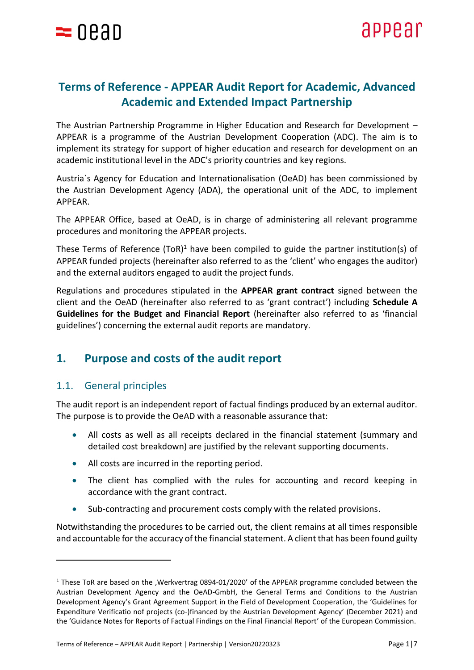

# **Terms of Reference - APPEAR Audit Report for Academic, Advanced Academic and Extended Impact Partnership**

The Austrian Partnership Programme in Higher Education and Research for Development – APPEAR is a programme of the Austrian Development Cooperation (ADC). The aim is to implement its strategy for support of higher education and research for development on an academic institutional level in the ADC's priority countries and key regions.

Austria`s Agency for Education and Internationalisation (OeAD) has been commissioned by the Austrian Development Agency (ADA), the operational unit of the ADC, to implement APPEAR.

The APPEAR Office, based at OeAD, is in charge of administering all relevant programme procedures and monitoring the APPEAR projects.

These Terms of Reference  $(TOR)^1$  have been compiled to guide the partner institution(s) of APPEAR funded projects (hereinafter also referred to as the 'client' who engages the auditor) and the external auditors engaged to audit the project funds.

Regulations and procedures stipulated in the **APPEAR grant contract** signed between the client and the OeAD (hereinafter also referred to as 'grant contract') including **Schedule A Guidelines for the Budget and Financial Report** (hereinafter also referred to as 'financial guidelines') concerning the external audit reports are mandatory.

# **1. Purpose and costs of the audit report**

## 1.1. General principles

The audit report is an independent report of factual findings produced by an external auditor. The purpose is to provide the OeAD with a reasonable assurance that:

- All costs as well as all receipts declared in the financial statement (summary and detailed cost breakdown) are justified by the relevant supporting documents.
- All costs are incurred in the reporting period.
- The client has complied with the rules for accounting and record keeping in accordance with the grant contract.
- Sub-contracting and procurement costs comply with the related provisions.

Notwithstanding the procedures to be carried out, the client remains at all times responsible and accountable for the accuracy of the financial statement. A client that has been found guilty

<sup>1</sup> These ToR are based on the ,Werkvertrag 0894-01/2020' of the APPEAR programme concluded between the Austrian Development Agency and the OeAD-GmbH, the General Terms and Conditions to the Austrian Development Agency's Grant Agreement Support in the Field of Development Cooperation, the 'Guidelines for Expenditure Verificatio nof projects (co-)financed by the Austrian Development Agency' (December 2021) and the 'Guidance Notes for Reports of Factual Findings on the Final Financial Report' of the European Commission.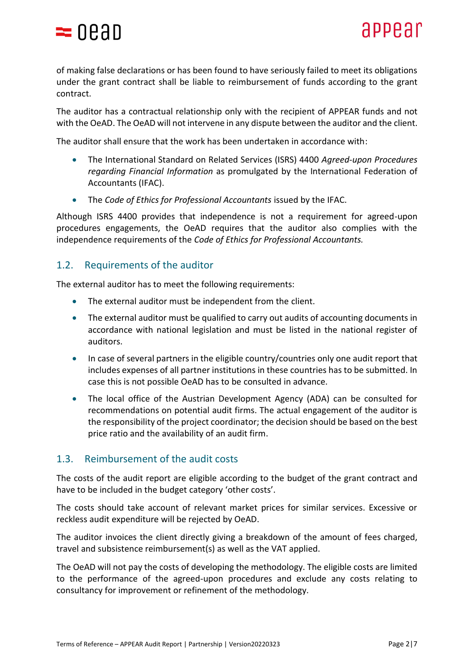

of making false declarations or has been found to have seriously failed to meet its obligations under the grant contract shall be liable to reimbursement of funds according to the grant contract.

The auditor has a contractual relationship only with the recipient of APPEAR funds and not with the OeAD. The OeAD will not intervene in any dispute between the auditor and the client.

The auditor shall ensure that the work has been undertaken in accordance with:

- The International Standard on Related Services (ISRS) 4400 *Agreed-upon Procedures regarding Financial Information* as promulgated by the International Federation of Accountants (IFAC).
- The *Code of Ethics for Professional Accountants* issued by the IFAC.

Although ISRS 4400 provides that independence is not a requirement for agreed-upon procedures engagements, the OeAD requires that the auditor also complies with the independence requirements of the *Code of Ethics for Professional Accountants.*

### 1.2. Requirements of the auditor

The external auditor has to meet the following requirements:

- The external auditor must be independent from the client.
- The external auditor must be qualified to carry out audits of accounting documents in accordance with national legislation and must be listed in the national register of auditors.
- In case of several partners in the eligible country/countries only one audit report that includes expenses of all partner institutions in these countries has to be submitted. In case this is not possible OeAD has to be consulted in advance.
- The local office of the Austrian Development Agency (ADA) can be consulted for recommendations on potential audit firms. The actual engagement of the auditor is the responsibility of the project coordinator; the decision should be based on the best price ratio and the availability of an audit firm.

### 1.3. Reimbursement of the audit costs

The costs of the audit report are eligible according to the budget of the grant contract and have to be included in the budget category 'other costs'.

The costs should take account of relevant market prices for similar services. Excessive or reckless audit expenditure will be rejected by OeAD.

The auditor invoices the client directly giving a breakdown of the amount of fees charged, travel and subsistence reimbursement(s) as well as the VAT applied.

The OeAD will not pay the costs of developing the methodology. The eligible costs are limited to the performance of the agreed-upon procedures and exclude any costs relating to consultancy for improvement or refinement of the methodology.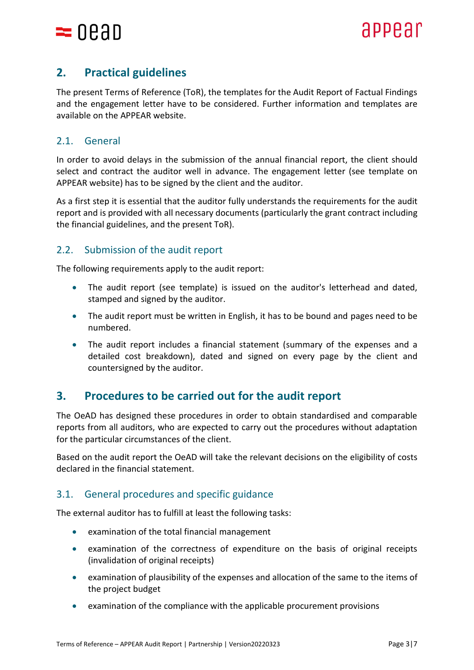

# **2. Practical guidelines**

The present Terms of Reference (ToR), the templates for the Audit Report of Factual Findings and the engagement letter have to be considered. Further information and templates are available on the APPEAR website.

# 2.1. General

In order to avoid delays in the submission of the annual financial report, the client should select and contract the auditor well in advance. The engagement letter (see template on APPEAR website) has to be signed by the client and the auditor.

As a first step it is essential that the auditor fully understands the requirements for the audit report and is provided with all necessary documents (particularly the grant contract including the financial guidelines, and the present ToR).

# 2.2. Submission of the audit report

The following requirements apply to the audit report:

- The audit report (see template) is issued on the auditor's letterhead and dated, stamped and signed by the auditor.
- The audit report must be written in English, it has to be bound and pages need to be numbered.
- The audit report includes a financial statement (summary of the expenses and a detailed cost breakdown), dated and signed on every page by the client and countersigned by the auditor.

# **3. Procedures to be carried out for the audit report**

The OeAD has designed these procedures in order to obtain standardised and comparable reports from all auditors, who are expected to carry out the procedures without adaptation for the particular circumstances of the client.

Based on the audit report the OeAD will take the relevant decisions on the eligibility of costs declared in the financial statement.

## 3.1. General procedures and specific guidance

The external auditor has to fulfill at least the following tasks:

- examination of the total financial management
- examination of the correctness of expenditure on the basis of original receipts (invalidation of original receipts)
- examination of plausibility of the expenses and allocation of the same to the items of the project budget
- examination of the compliance with the applicable procurement provisions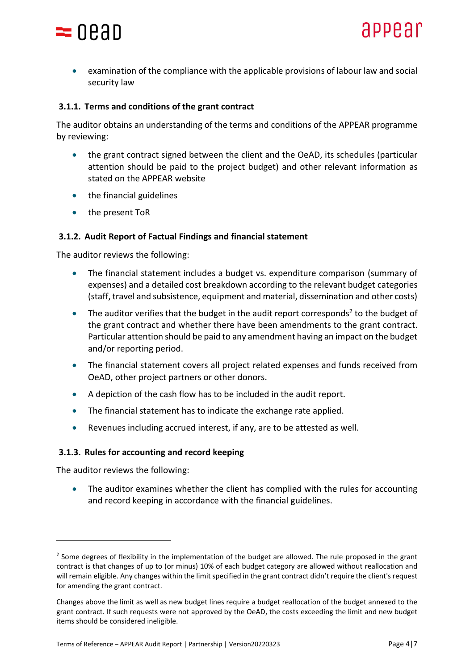

• examination of the compliance with the applicable provisions of labour law and social security law

#### **3.1.1. Terms and conditions of the grant contract**

The auditor obtains an understanding of the terms and conditions of the APPEAR programme by reviewing:

- the grant contract signed between the client and the OeAD, its schedules (particular attention should be paid to the project budget) and other relevant information as stated on the APPEAR website
- the financial guidelines
- the present ToR

#### **3.1.2. Audit Report of Factual Findings and financial statement**

The auditor reviews the following:

- The financial statement includes a budget vs. expenditure comparison (summary of expenses) and a detailed cost breakdown according to the relevant budget categories (staff, travel and subsistence, equipment and material, dissemination and other costs)
- $\bullet$  The auditor verifies that the budget in the audit report corresponds<sup>2</sup> to the budget of the grant contract and whether there have been amendments to the grant contract. Particular attention should be paid to any amendment having an impact on the budget and/or reporting period.
- The financial statement covers all project related expenses and funds received from OeAD, other project partners or other donors.
- A depiction of the cash flow has to be included in the audit report.
- The financial statement has to indicate the exchange rate applied.
- Revenues including accrued interest, if any, are to be attested as well.

#### **3.1.3. Rules for accounting and record keeping**

The auditor reviews the following:

• The auditor examines whether the client has complied with the rules for accounting and record keeping in accordance with the financial guidelines.

 $2$  Some degrees of flexibility in the implementation of the budget are allowed. The rule proposed in the grant contract is that changes of up to (or minus) 10% of each budget category are allowed without reallocation and will remain eligible. Any changes within the limit specified in the grant contract didn't require the client's request for amending the grant contract.

Changes above the limit as well as new budget lines require a budget reallocation of the budget annexed to the grant contract. If such requests were not approved by the OeAD, the costs exceeding the limit and new budget items should be considered ineligible.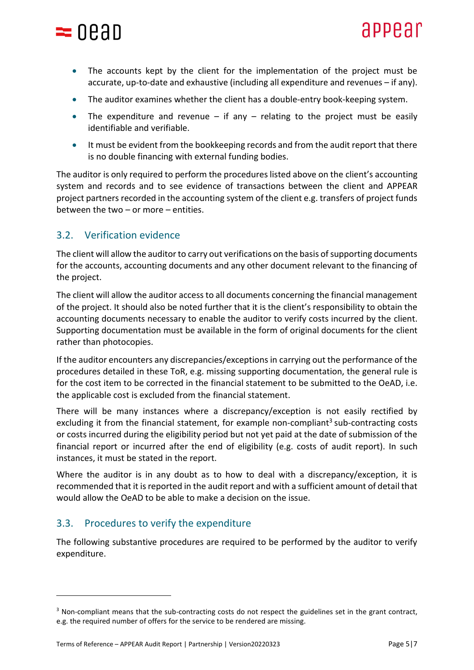

- The accounts kept by the client for the implementation of the project must be accurate, up-to-date and exhaustive (including all expenditure and revenues – if any).
- The auditor examines whether the client has a double-entry book-keeping system.
- The expenditure and revenue  $-$  if any  $-$  relating to the project must be easily identifiable and verifiable.
- It must be evident from the bookkeeping records and from the audit report that there is no double financing with external funding bodies.

The auditor is only required to perform the procedures listed above on the client's accounting system and records and to see evidence of transactions between the client and APPEAR project partners recorded in the accounting system of the client e.g. transfers of project funds between the two – or more – entities.

## 3.2. Verification evidence

The client will allow the auditor to carry out verifications on the basis of supporting documents for the accounts, accounting documents and any other document relevant to the financing of the project.

The client will allow the auditor access to all documents concerning the financial management of the project. It should also be noted further that it is the client's responsibility to obtain the accounting documents necessary to enable the auditor to verify costs incurred by the client. Supporting documentation must be available in the form of original documents for the client rather than photocopies.

If the auditor encounters any discrepancies/exceptions in carrying out the performance of the procedures detailed in these ToR, e.g. missing supporting documentation, the general rule is for the cost item to be corrected in the financial statement to be submitted to the OeAD, i.e. the applicable cost is excluded from the financial statement.

There will be many instances where a discrepancy/exception is not easily rectified by excluding it from the financial statement, for example non-compliant<sup>3</sup> sub-contracting costs or costs incurred during the eligibility period but not yet paid at the date of submission of the financial report or incurred after the end of eligibility (e.g. costs of audit report). In such instances, it must be stated in the report.

Where the auditor is in any doubt as to how to deal with a discrepancy/exception, it is recommended that it is reported in the audit report and with a sufficient amount of detail that would allow the OeAD to be able to make a decision on the issue.

## 3.3. Procedures to verify the expenditure

The following substantive procedures are required to be performed by the auditor to verify expenditure.

<sup>&</sup>lt;sup>3</sup> Non-compliant means that the sub-contracting costs do not respect the guidelines set in the grant contract, e.g. the required number of offers for the service to be rendered are missing.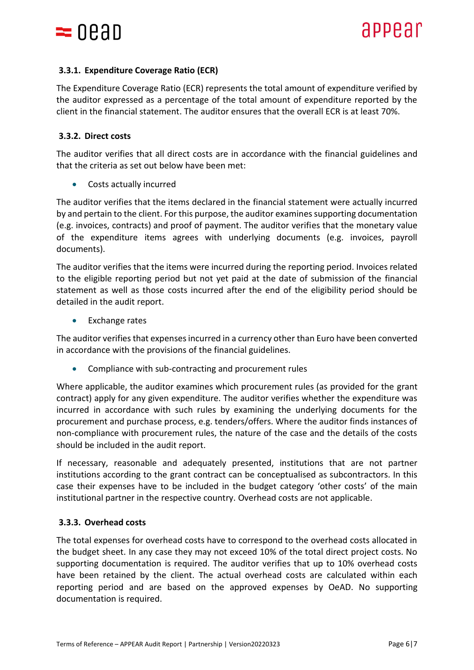

### **3.3.1. Expenditure Coverage Ratio (ECR)**

The Expenditure Coverage Ratio (ECR) represents the total amount of expenditure verified by the auditor expressed as a percentage of the total amount of expenditure reported by the client in the financial statement. The auditor ensures that the overall ECR is at least 70%.

#### **3.3.2. Direct costs**

The auditor verifies that all direct costs are in accordance with the financial guidelines and that the criteria as set out below have been met:

• Costs actually incurred

The auditor verifies that the items declared in the financial statement were actually incurred by and pertain to the client. For this purpose, the auditor examines supporting documentation (e.g. invoices, contracts) and proof of payment. The auditor verifies that the monetary value of the expenditure items agrees with underlying documents (e.g. invoices, payroll documents).

The auditor verifies that the items were incurred during the reporting period. Invoices related to the eligible reporting period but not yet paid at the date of submission of the financial statement as well as those costs incurred after the end of the eligibility period should be detailed in the audit report.

• Exchange rates

The auditor verifies that expenses incurred in a currency other than Euro have been converted in accordance with the provisions of the financial guidelines.

• Compliance with sub-contracting and procurement rules

Where applicable, the auditor examines which procurement rules (as provided for the grant contract) apply for any given expenditure. The auditor verifies whether the expenditure was incurred in accordance with such rules by examining the underlying documents for the procurement and purchase process, e.g. tenders/offers. Where the auditor finds instances of non-compliance with procurement rules, the nature of the case and the details of the costs should be included in the audit report.

If necessary, reasonable and adequately presented, institutions that are not partner institutions according to the grant contract can be conceptualised as subcontractors. In this case their expenses have to be included in the budget category 'other costs' of the main institutional partner in the respective country. Overhead costs are not applicable.

#### **3.3.3. Overhead costs**

The total expenses for overhead costs have to correspond to the overhead costs allocated in the budget sheet. In any case they may not exceed 10% of the total direct project costs. No supporting documentation is required. The auditor verifies that up to 10% overhead costs have been retained by the client. The actual overhead costs are calculated within each reporting period and are based on the approved expenses by OeAD. No supporting documentation is required.